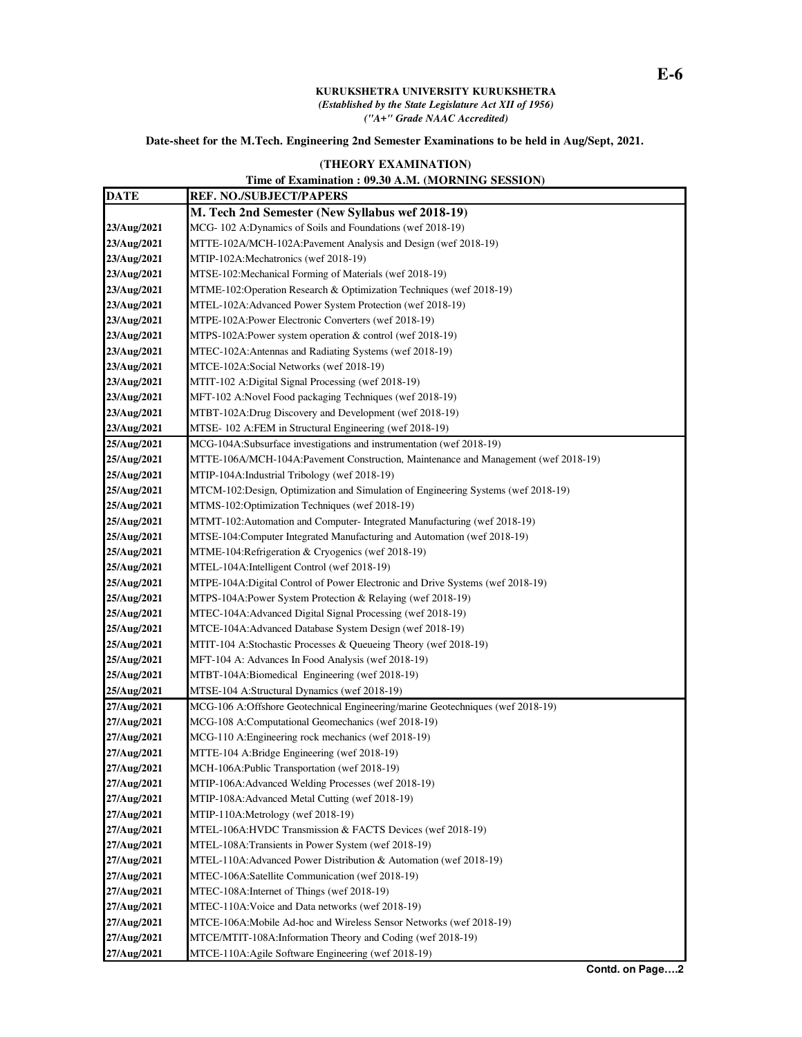## **KURUKSHETRA UNIVERSITY KURUKSHETRA**  *(Established by the State Legislature Act XII of 1956) ("A+" Grade NAAC Accredited)*

## **Date-sheet for the M.Tech. Engineering 2nd Semester Examinations to be held in Aug/Sept, 2021.**

## **(THEORY EXAMINATION)**

## **Time of Examination : 09.30 A.M. (MORNING SESSION)**

| <b>DATE</b> | <b>REF. NO./SUBJECT/PAPERS</b>                                                     |
|-------------|------------------------------------------------------------------------------------|
|             | M. Tech 2nd Semester (New Syllabus wef 2018-19)                                    |
| 23/Aug/2021 | MCG-102 A:Dynamics of Soils and Foundations (wef 2018-19)                          |
| 23/Aug/2021 | MTTE-102A/MCH-102A: Pavement Analysis and Design (wef 2018-19)                     |
| 23/Aug/2021 | MTIP-102A:Mechatronics (wef 2018-19)                                               |
| 23/Aug/2021 | MTSE-102:Mechanical Forming of Materials (wef 2018-19)                             |
| 23/Aug/2021 | MTME-102:Operation Research & Optimization Techniques (wef 2018-19)                |
| 23/Aug/2021 | MTEL-102A:Advanced Power System Protection (wef 2018-19)                           |
| 23/Aug/2021 | MTPE-102A: Power Electronic Converters (wef 2018-19)                               |
| 23/Aug/2021 | MTPS-102A:Power system operation & control (wef 2018-19)                           |
| 23/Aug/2021 | MTEC-102A:Antennas and Radiating Systems (wef 2018-19)                             |
| 23/Aug/2021 | MTCE-102A:Social Networks (wef 2018-19)                                            |
| 23/Aug/2021 | MTIT-102 A:Digital Signal Processing (wef 2018-19)                                 |
| 23/Aug/2021 | MFT-102 A:Novel Food packaging Techniques (wef 2018-19)                            |
| 23/Aug/2021 | MTBT-102A:Drug Discovery and Development (wef 2018-19)                             |
| 23/Aug/2021 | MTSE-102 A:FEM in Structural Engineering (wef 2018-19)                             |
| 25/Aug/2021 | MCG-104A:Subsurface investigations and instrumentation (wef 2018-19)               |
| 25/Aug/2021 | MTTE-106A/MCH-104A:Pavement Construction, Maintenance and Management (wef 2018-19) |
| 25/Aug/2021 | MTIP-104A:Industrial Tribology (wef 2018-19)                                       |
| 25/Aug/2021 | MTCM-102:Design, Optimization and Simulation of Engineering Systems (wef 2018-19)  |
| 25/Aug/2021 | MTMS-102:Optimization Techniques (wef 2018-19)                                     |
| 25/Aug/2021 | MTMT-102:Automation and Computer- Integrated Manufacturing (wef 2018-19)           |
| 25/Aug/2021 | MTSE-104:Computer Integrated Manufacturing and Automation (wef 2018-19)            |
| 25/Aug/2021 | MTME-104:Refrigeration & Cryogenics (wef 2018-19)                                  |
| 25/Aug/2021 | MTEL-104A:Intelligent Control (wef 2018-19)                                        |
| 25/Aug/2021 | MTPE-104A:Digital Control of Power Electronic and Drive Systems (wef 2018-19)      |
| 25/Aug/2021 | MTPS-104A: Power System Protection & Relaying (wef 2018-19)                        |
| 25/Aug/2021 | MTEC-104A:Advanced Digital Signal Processing (wef 2018-19)                         |
| 25/Aug/2021 | MTCE-104A:Advanced Database System Design (wef 2018-19)                            |
| 25/Aug/2021 | MTIT-104 A:Stochastic Processes & Queueing Theory (wef 2018-19)                    |
| 25/Aug/2021 | MFT-104 A: Advances In Food Analysis (wef 2018-19)                                 |
| 25/Aug/2021 | MTBT-104A:Biomedical Engineering (wef 2018-19)                                     |
| 25/Aug/2021 | MTSE-104 A:Structural Dynamics (wef 2018-19)                                       |
| 27/Aug/2021 | MCG-106 A:Offshore Geotechnical Engineering/marine Geotechniques (wef 2018-19)     |
| 27/Aug/2021 | MCG-108 A:Computational Geomechanics (wef 2018-19)                                 |
| 27/Aug/2021 | MCG-110 A: Engineering rock mechanics (wef 2018-19)                                |
| 27/Aug/2021 | MTTE-104 A:Bridge Engineering (wef 2018-19)                                        |
| 27/Aug/2021 | MCH-106A: Public Transportation (wef 2018-19)                                      |
| 27/Aug/2021 | MTIP-106A:Advanced Welding Processes (wef 2018-19)                                 |
| 27/Aug/2021 | MTIP-108A: Advanced Metal Cutting (wef 2018-19)                                    |
| 27/Aug/2021 | MTIP-110A:Metrology (wef 2018-19)                                                  |
| 27/Aug/2021 | MTEL-106A:HVDC Transmission & FACTS Devices (wef 2018-19)                          |
| 27/Aug/2021 | MTEL-108A:Transients in Power System (wef 2018-19)                                 |
| 27/Aug/2021 | MTEL-110A:Advanced Power Distribution & Automation (wef 2018-19)                   |
| 27/Aug/2021 | MTEC-106A:Satellite Communication (wef 2018-19)                                    |
| 27/Aug/2021 | MTEC-108A: Internet of Things (wef 2018-19)                                        |
| 27/Aug/2021 | MTEC-110A: Voice and Data networks (wef 2018-19)                                   |
| 27/Aug/2021 | MTCE-106A: Mobile Ad-hoc and Wireless Sensor Networks (wef 2018-19)                |
| 27/Aug/2021 | MTCE/MTIT-108A:Information Theory and Coding (wef 2018-19)                         |
| 27/Aug/2021 | MTCE-110A:Agile Software Engineering (wef 2018-19)                                 |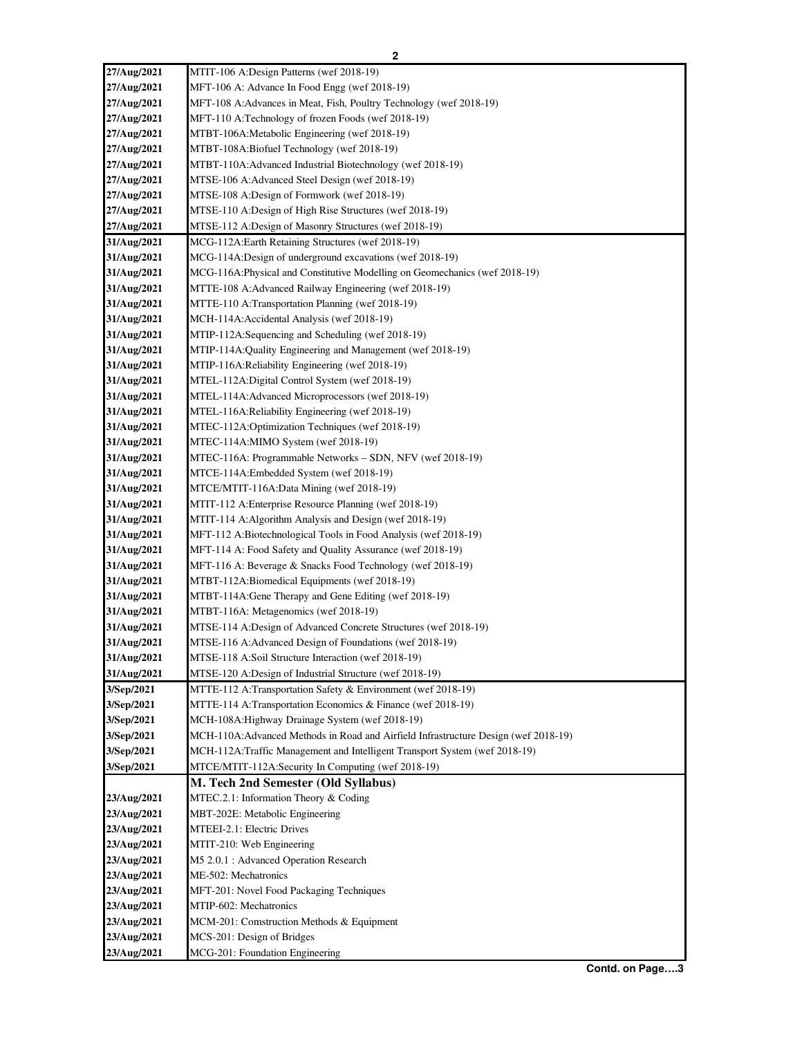| 27/Aug/2021 | MTIT-106 A:Design Patterns (wef 2018-19)                                           |
|-------------|------------------------------------------------------------------------------------|
| 27/Aug/2021 | MFT-106 A: Advance In Food Engg (wef 2018-19)                                      |
| 27/Aug/2021 | MFT-108 A:Advances in Meat, Fish, Poultry Technology (wef 2018-19)                 |
| 27/Aug/2021 | MFT-110 A:Technology of frozen Foods (wef 2018-19)                                 |
| 27/Aug/2021 | MTBT-106A:Metabolic Engineering (wef 2018-19)                                      |
| 27/Aug/2021 | MTBT-108A:Biofuel Technology (wef 2018-19)                                         |
| 27/Aug/2021 | MTBT-110A:Advanced Industrial Biotechnology (wef 2018-19)                          |
| 27/Aug/2021 | MTSE-106 A:Advanced Steel Design (wef 2018-19)                                     |
| 27/Aug/2021 | MTSE-108 A:Design of Formwork (wef 2018-19)                                        |
| 27/Aug/2021 | MTSE-110 A:Design of High Rise Structures (wef 2018-19)                            |
| 27/Aug/2021 | MTSE-112 A:Design of Masonry Structures (wef 2018-19)                              |
| 31/Aug/2021 | MCG-112A:Earth Retaining Structures (wef 2018-19)                                  |
| 31/Aug/2021 | MCG-114A:Design of underground excavations (wef 2018-19)                           |
| 31/Aug/2021 | MCG-116A: Physical and Constitutive Modelling on Geomechanics (wef 2018-19)        |
| 31/Aug/2021 | MTTE-108 A:Advanced Railway Engineering (wef 2018-19)                              |
| 31/Aug/2021 | MTTE-110 A:Transportation Planning (wef 2018-19)                                   |
| 31/Aug/2021 | MCH-114A: Accidental Analysis (wef 2018-19)                                        |
| 31/Aug/2021 | MTIP-112A:Sequencing and Scheduling (wef 2018-19)                                  |
| 31/Aug/2021 | MTIP-114A: Quality Engineering and Management (wef 2018-19)                        |
| 31/Aug/2021 | MTIP-116A:Reliability Engineering (wef 2018-19)                                    |
| 31/Aug/2021 | MTEL-112A:Digital Control System (wef 2018-19)                                     |
| 31/Aug/2021 | MTEL-114A: Advanced Microprocessors (wef 2018-19)                                  |
| 31/Aug/2021 | MTEL-116A: Reliability Engineering (wef 2018-19)                                   |
| 31/Aug/2021 | MTEC-112A:Optimization Techniques (wef 2018-19)                                    |
| 31/Aug/2021 | MTEC-114A:MIMO System (wef 2018-19)                                                |
| 31/Aug/2021 | MTEC-116A: Programmable Networks - SDN, NFV (wef 2018-19)                          |
| 31/Aug/2021 | MTCE-114A:Embedded System (wef 2018-19)                                            |
| 31/Aug/2021 | MTCE/MTIT-116A:Data Mining (wef 2018-19)                                           |
| 31/Aug/2021 | MTIT-112 A: Enterprise Resource Planning (wef 2018-19)                             |
| 31/Aug/2021 | MTIT-114 A: Algorithm Analysis and Design (wef 2018-19)                            |
| 31/Aug/2021 | MFT-112 A:Biotechnological Tools in Food Analysis (wef 2018-19)                    |
| 31/Aug/2021 | MFT-114 A: Food Safety and Quality Assurance (wef 2018-19)                         |
| 31/Aug/2021 | MFT-116 A: Beverage & Snacks Food Technology (wef 2018-19)                         |
| 31/Aug/2021 | MTBT-112A:Biomedical Equipments (wef 2018-19)                                      |
| 31/Aug/2021 | MTBT-114A: Gene Therapy and Gene Editing (wef 2018-19)                             |
| 31/Aug/2021 | MTBT-116A: Metagenomics (wef 2018-19)                                              |
| 31/Aug/2021 | MTSE-114 A:Design of Advanced Concrete Structures (wef 2018-19)                    |
| 31/Aug/2021 | MTSE-116 A: Advanced Design of Foundations (wef 2018-19)                           |
| 31/Aug/2021 | MTSE-118 A:Soil Structure Interaction (wef 2018-19)                                |
| 31/Aug/2021 | MTSE-120 A:Design of Industrial Structure (wef 2018-19)                            |
| 3/Sep/2021  | MTTE-112 A:Transportation Safety & Environment (wef 2018-19)                       |
| 3/Sep/2021  | MTTE-114 A:Transportation Economics & Finance (wef 2018-19)                        |
| 3/Sep/2021  | MCH-108A: Highway Drainage System (wef 2018-19)                                    |
| 3/Sep/2021  | MCH-110A:Advanced Methods in Road and Airfield Infrastructure Design (wef 2018-19) |
| 3/Sep/2021  | MCH-112A:Traffic Management and Intelligent Transport System (wef 2018-19)         |
| 3/Sep/2021  | MTCE/MTIT-112A:Security In Computing (wef 2018-19)                                 |
|             | M. Tech 2nd Semester (Old Syllabus)                                                |
| 23/Aug/2021 | MTEC.2.1: Information Theory & Coding                                              |
| 23/Aug/2021 | MBT-202E: Metabolic Engineering                                                    |
| 23/Aug/2021 | MTEEI-2.1: Electric Drives                                                         |
| 23/Aug/2021 | MTIT-210: Web Engineering                                                          |
| 23/Aug/2021 | M5 2.0.1 : Advanced Operation Research                                             |
| 23/Aug/2021 | ME-502: Mechatronics                                                               |
| 23/Aug/2021 | MFT-201: Novel Food Packaging Techniques                                           |
| 23/Aug/2021 | MTIP-602: Mechatronics                                                             |
| 23/Aug/2021 | MCM-201: Comstruction Methods & Equipment                                          |
| 23/Aug/2021 | MCS-201: Design of Bridges                                                         |
| 23/Aug/2021 | MCG-201: Foundation Engineering                                                    |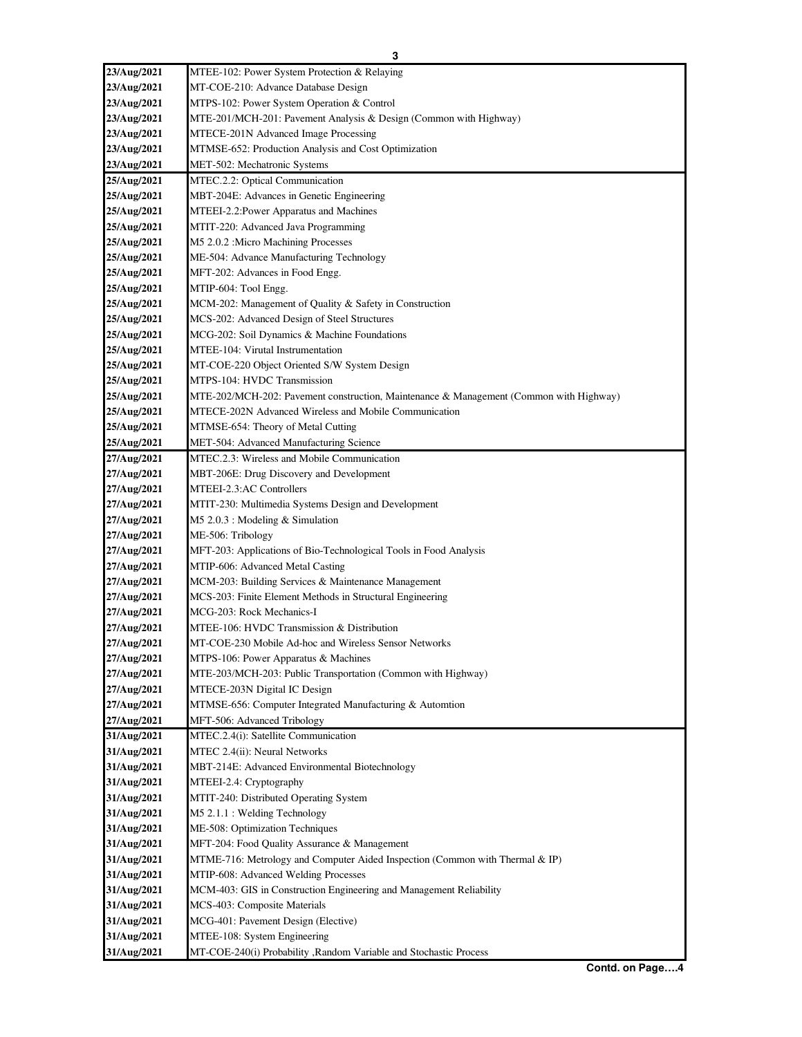| 23/Aug/2021                | MTEE-102: Power System Protection & Relaying                                           |
|----------------------------|----------------------------------------------------------------------------------------|
| 23/Aug/2021                | MT-COE-210: Advance Database Design                                                    |
| 23/Aug/2021                | MTPS-102: Power System Operation & Control                                             |
| 23/Aug/2021                | MTE-201/MCH-201: Pavement Analysis & Design (Common with Highway)                      |
|                            | MTECE-201N Advanced Image Processing                                                   |
| 23/Aug/2021<br>23/Aug/2021 | MTMSE-652: Production Analysis and Cost Optimization                                   |
| 23/Aug/2021                | MET-502: Mechatronic Systems                                                           |
|                            |                                                                                        |
| 25/Aug/2021<br>25/Aug/2021 | MTEC.2.2: Optical Communication<br>MBT-204E: Advances in Genetic Engineering           |
|                            |                                                                                        |
| 25/Aug/2021<br>25/Aug/2021 | MTEEI-2.2: Power Apparatus and Machines<br>MTIT-220: Advanced Java Programming         |
| 25/Aug/2021                | M5 2.0.2 : Micro Machining Processes                                                   |
| 25/Aug/2021                | ME-504: Advance Manufacturing Technology                                               |
| 25/Aug/2021                | MFT-202: Advances in Food Engg.                                                        |
| 25/Aug/2021                | MTIP-604: Tool Engg.                                                                   |
| 25/Aug/2021                | MCM-202: Management of Quality & Safety in Construction                                |
| 25/Aug/2021                | MCS-202: Advanced Design of Steel Structures                                           |
| 25/Aug/2021                | MCG-202: Soil Dynamics & Machine Foundations                                           |
| 25/Aug/2021                | MTEE-104: Virutal Instrumentation                                                      |
| 25/Aug/2021                | MT-COE-220 Object Oriented S/W System Design                                           |
| 25/Aug/2021                | MTPS-104: HVDC Transmission                                                            |
| 25/Aug/2021                | MTE-202/MCH-202: Pavement construction, Maintenance & Management (Common with Highway) |
| 25/Aug/2021                | MTECE-202N Advanced Wireless and Mobile Communication                                  |
| 25/Aug/2021                | MTMSE-654: Theory of Metal Cutting                                                     |
| 25/Aug/2021                | MET-504: Advanced Manufacturing Science                                                |
| 27/Aug/2021                | MTEC.2.3: Wireless and Mobile Communication                                            |
| 27/Aug/2021                | MBT-206E: Drug Discovery and Development                                               |
| 27/Aug/2021                | MTEEI-2.3:AC Controllers                                                               |
| 27/Aug/2021                | MTIT-230: Multimedia Systems Design and Development                                    |
| 27/Aug/2021                | M5 2.0.3 : Modeling & Simulation                                                       |
| 27/Aug/2021                | ME-506: Tribology                                                                      |
| 27/Aug/2021                | MFT-203: Applications of Bio-Technological Tools in Food Analysis                      |
| 27/Aug/2021                | MTIP-606: Advanced Metal Casting                                                       |
| 27/Aug/2021                | MCM-203: Building Services & Maintenance Management                                    |
| 27/Aug/2021                | MCS-203: Finite Element Methods in Structural Engineering                              |
| 27/Aug/2021                | MCG-203: Rock Mechanics-I                                                              |
| 27/Aug/2021                | MTEE-106: HVDC Transmission & Distribution                                             |
| 27/Aug/2021                | MT-COE-230 Mobile Ad-hoc and Wireless Sensor Networks                                  |
| 27/Aug/2021                | MTPS-106: Power Apparatus & Machines                                                   |
| 27/Aug/2021                | MTE-203/MCH-203: Public Transportation (Common with Highway)                           |
| 27/Aug/2021                | MTECE-203N Digital IC Design                                                           |
| 27/Aug/2021                | MTMSE-656: Computer Integrated Manufacturing & Automtion                               |
| 27/Aug/2021                | MFT-506: Advanced Tribology                                                            |
| 31/Aug/2021                | MTEC.2.4(i): Satellite Communication                                                   |
| 31/Aug/2021                | MTEC 2.4(ii): Neural Networks                                                          |
| 31/Aug/2021                | MBT-214E: Advanced Environmental Biotechnology                                         |
| 31/Aug/2021                | MTEEI-2.4: Cryptography                                                                |
| 31/Aug/2021                | MTIT-240: Distributed Operating System                                                 |
| 31/Aug/2021                | M5 2.1.1 : Welding Technology                                                          |
| 31/Aug/2021                | ME-508: Optimization Techniques                                                        |
| 31/Aug/2021                | MFT-204: Food Quality Assurance & Management                                           |
| 31/Aug/2021                | MTME-716: Metrology and Computer Aided Inspection (Common with Thermal & IP)           |
| 31/Aug/2021                | MTIP-608: Advanced Welding Processes                                                   |
| 31/Aug/2021                | MCM-403: GIS in Construction Engineering and Management Reliability                    |
| 31/Aug/2021                | MCS-403: Composite Materials                                                           |
| 31/Aug/2021                | MCG-401: Pavement Design (Elective)                                                    |
| 31/Aug/2021                | MTEE-108: System Engineering                                                           |
| 31/Aug/2021                | MT-COE-240(i) Probability , Random Variable and Stochastic Process                     |